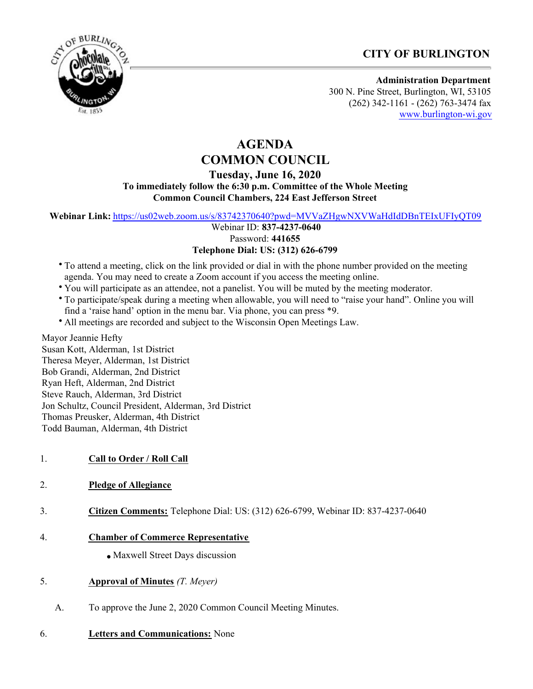



**Administration Department** 300 N. Pine Street, Burlington, WI, 53105 (262) 342-1161 - (262) 763-3474 fax

[www.burlington-wi.gov](http://www.burlington-wi.gov)

# **AGENDA COMMON COUNCIL**

**Tuesday, June 16, 2020**

**To immediately follow the 6:30 p.m. Committee of the Whole Meeting Common Council Chambers, 224 East Jefferson Street**

**Webinar Link:** <https://us02web.zoom.us/s/83742370640?pwd=MVVaZHgwNXVWaHdIdDBnTEIxUFIyQT09>

Webinar ID: **837-4237-0640**

Password: **441655**

## **Telephone Dial: US: (312) 626-6799**

- To attend a meeting, click on the link provided or dial in with the phone number provided on the meeting agenda. You may need to create a Zoom account if you access the meeting online.
- You will participate as an attendee, not a panelist. You will be muted by the meeting moderator.
- To participate/speak during a meeting when allowable, you will need to "raise your hand". Online you will find a 'raise hand' option in the menu bar. Via phone, you can press \*9.
- All meetings are recorded and subject to the Wisconsin Open Meetings Law.

Mayor Jeannie Hefty Susan Kott, Alderman, 1st District Theresa Meyer, Alderman, 1st District Bob Grandi, Alderman, 2nd District Ryan Heft, Alderman, 2nd District Steve Rauch, Alderman, 3rd District Jon Schultz, Council President, Alderman, 3rd District Thomas Preusker, Alderman, 4th District Todd Bauman, Alderman, 4th District

- 1. **Call to Order / Roll Call**
- 2. **Pledge of Allegiance**
- 3. **Citizen Comments:** Telephone Dial: US: (312) 626-6799, Webinar ID: 837-4237-0640

# 4. **Chamber of Commerce Representative**

- Maxwell Street Days discussion
- 5. **Approval of Minutes** *(T. Meyer)*
	- A. To approve the June 2, 2020 Common Council Meeting Minutes.
- 6. **Letters and Communications:** None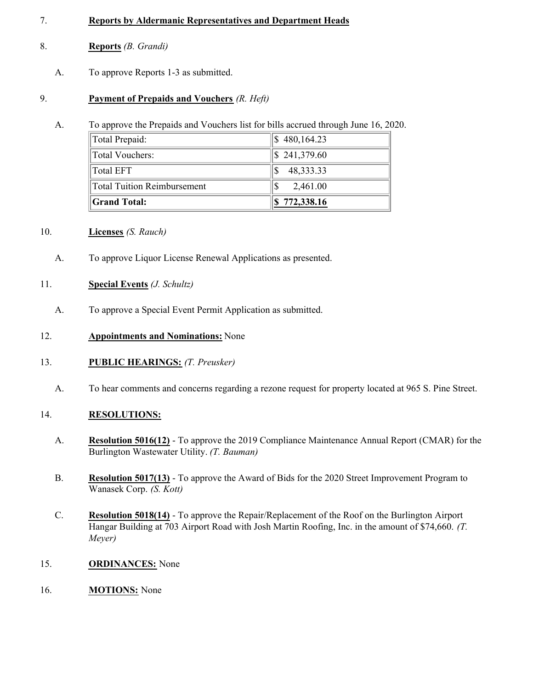#### 7. **Reports by Aldermanic Representatives and Department Heads**

- 8. **Reports** *(B. Grandi)*
	- A. To approve Reports 1-3 as submitted.

## 9. **Payment of Prepaids and Vouchers** *(R. Heft)*

A. To approve the Prepaids and Vouchers list for bills accrued through June 16, 2020.

| Total Prepaid:              | \$480,164.23             |
|-----------------------------|--------------------------|
| Total Vouchers:             | $\frac{1}{2}$ 241,379.60 |
| Total EFT                   | 48,333.33                |
| Total Tuition Reimbursement | 2,461.00                 |
| <b>Scrand Total:</b>        | \$772,338.16             |

### 10. **Licenses** *(S. Rauch)*

A. To approve Liquor License Renewal Applications as presented.

## 11. **Special Events** *(J. Schultz)*

A. To approve a Special Event Permit Application as submitted.

## 12. **Appointments and Nominations:** None

- 13. **PUBLIC HEARINGS:** *(T. Preusker)*
	- A. To hear comments and concerns regarding a rezone request for property located at 965 S. Pine Street.

# 14. **RESOLUTIONS:**

- A. **Resolution 5016(12)** To approve the 2019 Compliance Maintenance Annual Report (CMAR) for the Burlington Wastewater Utility. *(T. Bauman)*
- B. **Resolution 5017(13)** To approve the Award of Bids for the 2020 Street Improvement Program to Wanasek Corp. *(S. Kott)*
- C. **Resolution 5018(14)** To approve the Repair/Replacement of the Roof on the Burlington Airport Hangar Building at 703 Airport Road with Josh Martin Roofing, Inc. in the amount of \$74,660. *(T. Meyer)*
- 15. **ORDINANCES:** None
- 16. **MOTIONS:** None